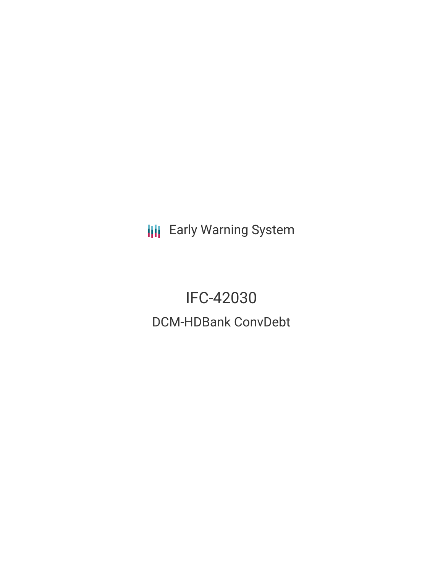**III** Early Warning System

IFC-42030 DCM-HDBank ConvDebt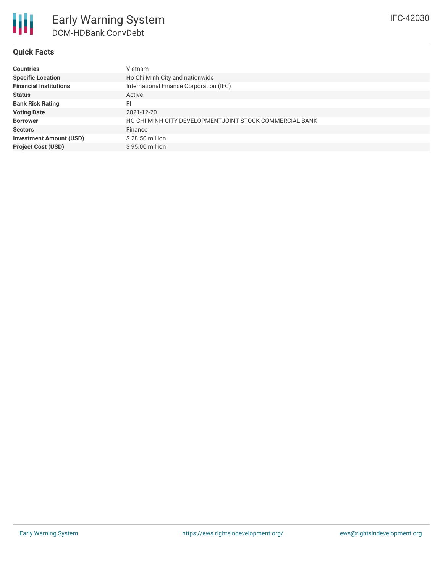## **Quick Facts**

| <b>Countries</b>               | Vietnam                                                 |
|--------------------------------|---------------------------------------------------------|
| <b>Specific Location</b>       | Ho Chi Minh City and nationwide                         |
| <b>Financial Institutions</b>  | International Finance Corporation (IFC)                 |
| <b>Status</b>                  | Active                                                  |
| <b>Bank Risk Rating</b>        | FI                                                      |
| <b>Voting Date</b>             | 2021-12-20                                              |
| <b>Borrower</b>                | HO CHI MINH CITY DEVELOPMENTJOINT STOCK COMMERCIAL BANK |
| <b>Sectors</b>                 | Finance                                                 |
| <b>Investment Amount (USD)</b> | $$28.50$ million                                        |
| <b>Project Cost (USD)</b>      | $$95.00$ million                                        |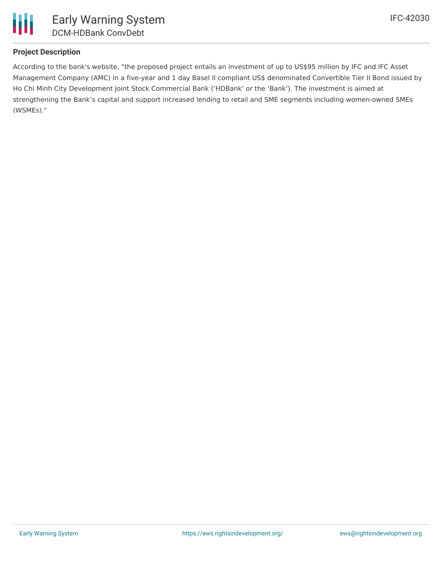

# **Project Description**

According to the bank's website, "the proposed project entails an investment of up to US\$95 million by IFC and IFC Asset Management Company (AMC) in a five-year and 1 day Basel II compliant US\$ denominated Convertible Tier II Bond issued by Ho Chi Minh City Development Joint Stock Commercial Bank ('HDBank' or the 'Bank'). The investment is aimed at strengthening the Bank's capital and support increased lending to retail and SME segments including women-owned SMEs (WSMEs)."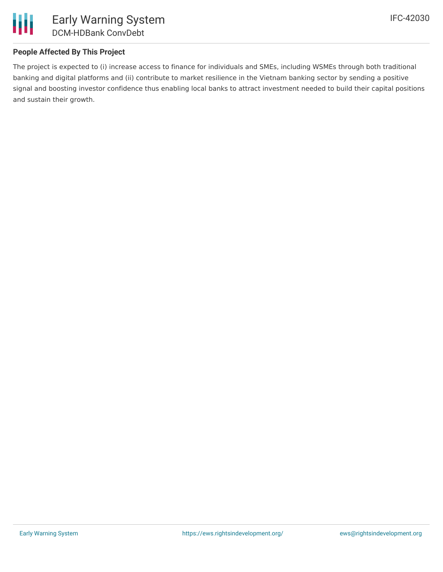

# **People Affected By This Project**

The project is expected to (i) increase access to finance for individuals and SMEs, including WSMEs through both traditional banking and digital platforms and (ii) contribute to market resilience in the Vietnam banking sector by sending a positive signal and boosting investor confidence thus enabling local banks to attract investment needed to build their capital positions and sustain their growth.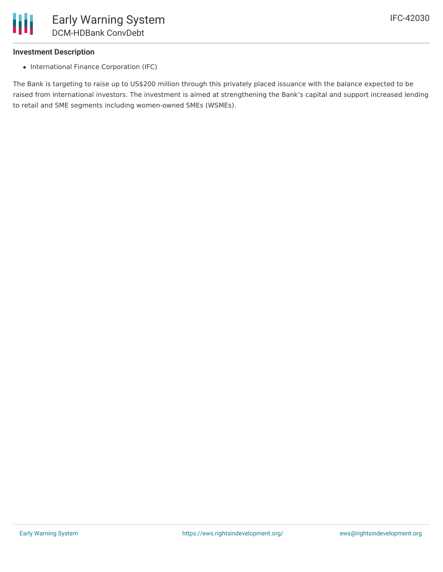

#### **Investment Description**

• International Finance Corporation (IFC)

The Bank is targeting to raise up to US\$200 million through this privately placed issuance with the balance expected to be raised from international investors. The investment is aimed at strengthening the Bank's capital and support increased lending to retail and SME segments including women-owned SMEs (WSMEs).